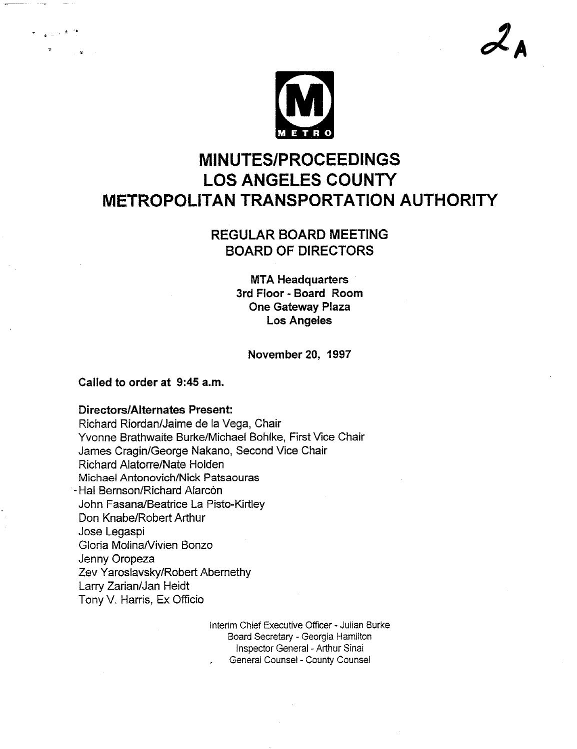

# **MINUTES/PROCEEDINGS LOS ANGELES COUNTY METROPOLITAN TRANSPORTATION AUTHORITY**

# **REGULAR BOARD MEETING BOARD OF DIRECTORS**

**MTA Headquarters 3rd Floor - Board Room One Gateway Plaza Los Angeles**

**November 20, 1997**

### **Called to order at 9:45 a.m.**

### **Directors/Alternates Present:**

Richard Riordan/Jaime de la Vega, Chair Yvonne Brathwaite Burke/Michael Bohlke, First Vice Chair James Cragin/George Nakano, Second Vice Chair Richard Alatorre/Nate Holden Michael Antonovich/Nick Patsaouras - Hal Bernson/Richard Alarcón John Fasana/Beatrice La Pisto-Kirtley Don Knabe/Robert Arthur Jose Legaspi Gloria Molina/Vivien Bonzo Jenny Oropeza Zev Yaroslavsky/Robert Abernethy Larry Zarian/Jan Heidt Tony V. Harris, Ex Officio

> Interim Chief Executive Officer - Julian Burke Board Secretary - Georgia Hamilton Inspector General - Arthur Sinai General Counsel - County Counsel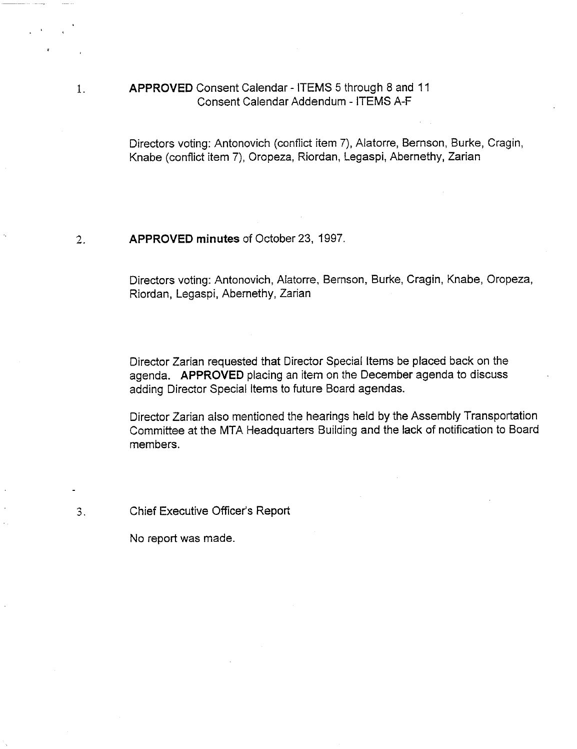### APPROVED Consent Calendar - ITEMS 5 through 8 and 11 Consent Calendar Addendum - ITEMS A-F

Directors voting: Antonovich (conflict item 7), Alatorre, Bemson, Burke, Cragin, Knabe (conflict item 7), Oropeza, Riordan, Legaspi, Abernethy, Zarian

#### $2.$ APPROVED minutes of October 23, 1997.

Directors voting: Antonovich, Alatorre, Bemson, Burke, Cragin, Knabe, Oropeza, Riordan, Legaspi, Abemethy, Zarian

Director Zarian requested that Director Special Items be placed back on the agenda. APPROVED placing an item on the December agenda to discuss adding Director Special Items to future Board agendas.

Director Zarian also mentioned the hearings held by the Assembly Transportation Committee at the MTA Headquarters Building and the lack of notification to Board members.

Chief Executive Officer's Report

No report was made.

 $1.$ 

 $3.$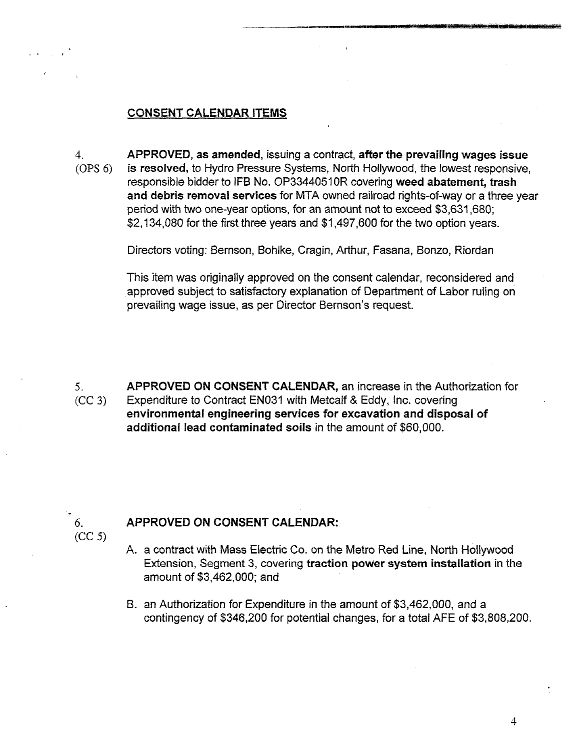### **CONSENT CALENDAR ITEMS**

**APPROVED, as amended, issuing a contract, after the prevailing wages issue**  $4.$ (OPS 6) is resolved, to Hydro Pressure Systems, North Hollywood, the lowest responsive, responsible bidder to IFB No. OP33440510R covering **weed abatement, trash and debris removal services** for MTA owned railroad rights-of-way or a three year period with two one-year options, for an amount not to exceed \$3,631,680; \$2,134,080 for the first three years and \$1,497,600 for the two option years.

Directors voting: Bernson, Bohlke, Cragin, Arthur, Fasana, Bonzo, Riordan

This item was originally approved on the consent calendar, reconsidered and approved subject to satisfactory explanation of Department of Labor ruling on prevailing wage issue, as per Director Bernson's request.

APPROVED ON CONSENT CALENDAR, an increase in the Authorization for 5. Expenditure to Contract EN031 with Metcalf & Eddy, Inc. covering  $(CC 3)$ **environmental engineering services for excavation and disposal of additional lead contaminated soils in the amount of \$60,000.**

## $6<sub>1</sub>$ (CC 5)

## **APPROVED ON CONSENT CALENDAR:**

- A. a contract with Mass Electric Co. on the Metro Red Line, North Hollywood Extension, Segment 3, covering **traction power system installation** in the amount of \$3,462,000; and
- B. an Authorization for Expenditure in the amount of \$3,462,000, and a contingency of \$346,200 for potential changes, for a total AFE of \$3,808,200.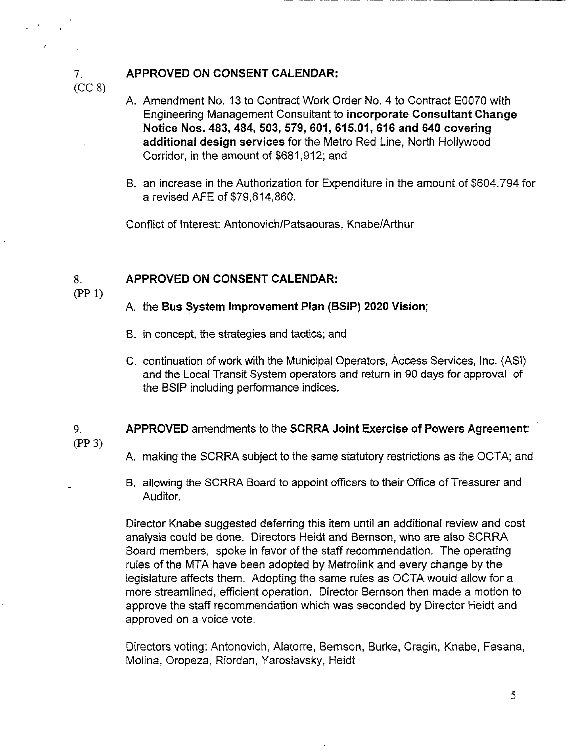### **APPROVED ON CONSENT CALENDAR:**

- A. Amendment No. 13 to Contract Work Order No. 4 to Contract E0070 with Engineering Management Consultant to **incorporate Consultant Change Notice Nos. 483, 484, 503, 579, 601,615.01,616 and 640 covering additional design** services for the Metro Red Line, North Hollywood Corridor, in the amount of \$681,912; and
- B. an increase in the Authorization for Expenditure in the amount of \$604,794 for a revised AFE of \$79,614,860.

Conflict of Interest: Antonovich/Patsaouras, Knabe/Arthur

### **APPROVED ON CONSENT CALENDAR:** 8.

 $(PP 1)$ 

 $(CC 8)$ 

 $7<sub>1</sub>$ 

### A. the **Bus System Improvement** Plan (BSIP) 2020 Vision;

- B. in concept, the strategies and tactics; and
- C. continuation of work with the Municipal Operators, Access Services, Inc. (ASI) and the Local Transit System operators and return in 90 days for approval of the BSIP including performance indices.

### 9. **APPROVED** amendments to the **SCRRA Joint** Exercise of Powers **Agreement:** (PP 3)

- A. making the SCRRA subject to the same statutory restrictions as the OCTA; and
- B. allowing the SCRRA Board to appoint officers to their Office of Treasurer and Auditor.

Director Knabe suggested deferring this item until an additional review and cost analysis could be done. Directors Heidt and Bernson, who are also SCRRA Board members, spoke in favor of the staff recommendation. The operating rules of the MTA have been adopted by Metrolink and every change by the legislature affects them. Adopting the same rules as OCTA would allow for a more streamlined, efficient operation. Director Bernson then made a motion to approve the staff recommendation which was seconded by Director Heidt and approved on a voice vote.

Directors voting: Antonovich, Alatorre, Bernson, Burke, Cragin, Knabe, Fasana, Molina, Oropeza, Riordan, Yaroslavsky, Heidt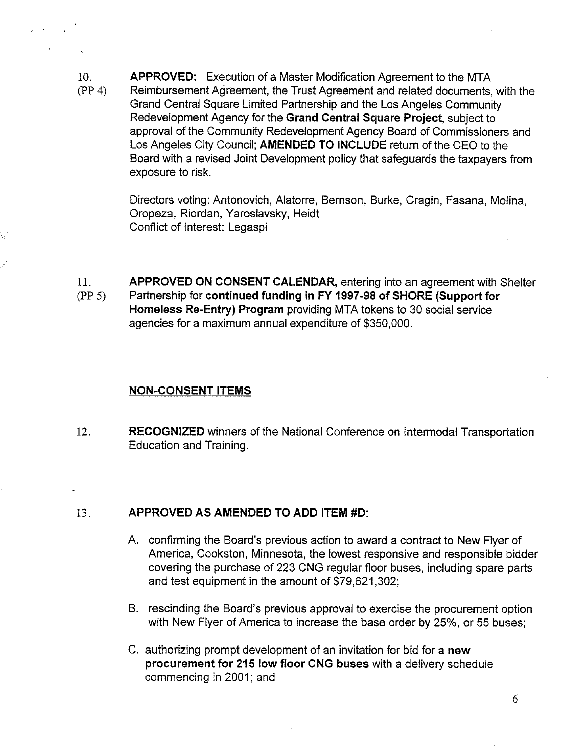10. (PP 4) APPROVED: Execution of a Master Modification Agreement to the MTA Reimbursement Agreement, the Trust Agreement and related documents, with the Grand Central Square Limited Partnership and the Los Angeles Community Redevelopment Agency for the Grand Central Square Project, subject to approval of the Community Redevelopment Agency Board of Commissioners and Los Angeles City Council; AMENDED TO INCLUDE return of the CEO to the Board with a revised Joint Development policy that safeguards the taxpayers from exposure to risk.

> Directors voting: Antonovich, Alatorre, Bernson, Burke, Cragin, Fasana, Molina, Oropeza, Riordan, Yaroslavsky, Heidt Conflict of Interest: Legaspi

11. (PP 5) APPROVED ON CONSENT CALENDAR, entering into an agreement with Shelter Partnership for continued funding in FY 1997-98 of SHORE (Support for **Homeless** Re-Entry) Program providing MTA tokens to 30 social service agencies for a maximum annual expenditure of \$350,000.

### **NON-CONSENT ITEMS**

12. RECOGNIZED winners of the National Conference on Intermodat Transportation Education and Training.

### 13. **APPROVED AS AMENDED TO ADD ITEM #D:**

- A. confirming the Board's previous action to award a contract to New Flyer of America, Cookston, Minnesota, the lowest responsive and responsible bidder covering the purchase of 223 CNG regular floor buses, including spare parts and test equipment in the amount of \$79,621,302;
- B. rescinding the Board's previous approval to exercise the procurement option with New Flyer of America to increase the base order by 25%, or 55 buses;
- authorizing prompt development ofan invitation for bid for a **new** procurement for 215 low floor CNG buses with a delivery schedule commencing in 2001; and

6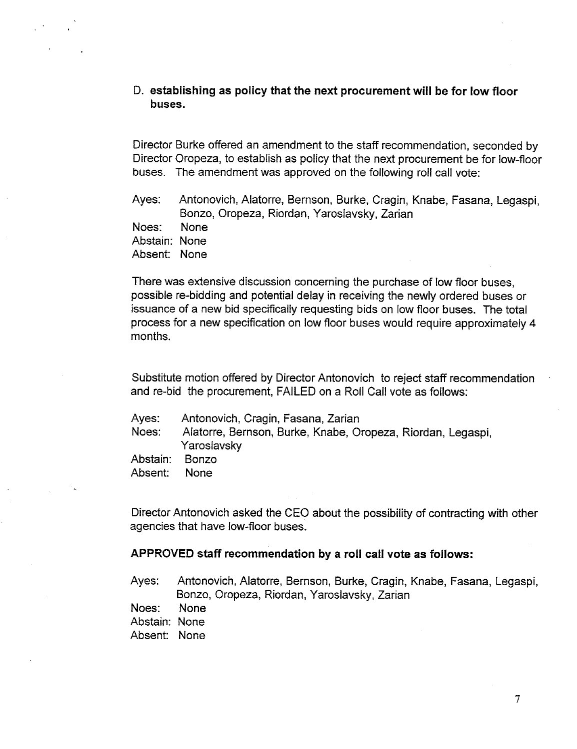### **D. establishing as policy that the next procurement will be for low floor buses.**

Director Burke offered an amendment to the staff recommendation, seconded by Director Oropeza, to establish as policy that the next procurement be for low-floor buses. The amendment was approved on the following roll call vote:

Ayes: Antonovich, Alatorre, Bernson, Burke, Cragin, Knabe, Fasana, Legaspi, Bonzo, Oropeza, Riordan, Yaroslavsky, Zarian

Noes: None

Abstain: None

Absent: None

There was extensive discussion concerning the purchase of low floor buses, possible re-bidding and potential delay in receiving the newly ordered buses or issuance of a new bid specifically requesting bids on low floor buses. The total process for a new specification on low floor buses would require approximately 4 months.

Substitute motion offered by Director Antonovich to reject staff recommendation and re-bid the procurement, FAILED on a Roll Call vote as follows:

- Ayes: Antonovich, Cragin, Fasana, Zarian
- Noes: Alatorre, Bernson, Burke, Knabe, Oropeza, Riordan, Legaspi, Yaroslavsky

Abstain: Bonzo

Absent: None

Director Antonovich asked the CEO about the possibility of contracting with other agencies that have low-floor buses.

### **APPROVED staff recommendation by a roll call vote as follows:**

Ayes: Antonovich, Alatorre, Bernson, Burke, Cragin, Knabe, Fasana, Legaspi, Bonzo, Oropeza, Riordan, Yaroslavsky, Zarian

Noes: None

Abstain: None

Absent: None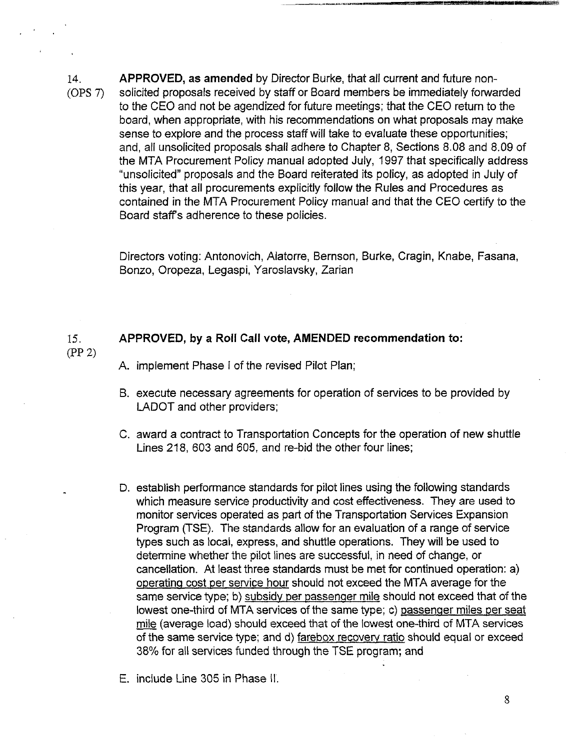14. (OPS 7) **APPROVED, as amended** by Director Burke, that all current and future nonsolicited proposals received by staff or Board members be immediately forwarded to the CEO and not be agendized for future meetings; that the CEO return to the board, when appropriate, with his recommendations on what proposals may make sense to explore and the process staff will take to evaluate these opportunities; and, all unsolicited proposals shall adhere to Chapter 8, Sections 8.08 and 8.09 of the MTA Procurement Policy manual adopted July, 1997 that specifically address "unsolicited" proposals and the Board reiterated its policy, as adopted in July of this year, that all procurements explicitly follow the Rules and Procedures as contained in the MTA Procurement Policy manual and that the CEO certify to the Board staff's adherence to these policies.

> Directors voting: Antonovich, Alatorre, Bernson, Burke, Cragin, Knabe, Fasana, Bonzo, Oropeza, Legaspi, Yaroslavsky, Zarian

### 15. **APPROVED, by a Roll Call vote, AMENDED recommendation to:**

A. implement Phase I of the revised Pilot Plan;

 $(PP 2)$ 

- B, execute necessary agreements for operation of services to be provided by LADOT and other providers;
- C. award a contract to Transportation Concepts for the operation of new shuttle Lines 218, 603 and 605, and re-bid the other four lines;
- D. establish performance standards for pilot lines using the following standards which measure service productivity and cost effectiveness. They are used to monitor services operated as part of the Transportation Services Expansion Program (TSE). The standards allow for an evaluation of a range of service types such as local, express, and shuttle operations. They will be used to determine whether the pilot lines are successful, in need of change, or cancellation. At least three standards must be met for continued operation: a) operating cost per service hour should not exceed the MTA average for the same service type; b) subsidy per passenger mile should not exceed that of the lowest one-third of MTA services of the same type; c) passenger miles per seat mile (average load) should exceed that of the lowest one-third of MTA services of the same service type; and d) farebox recovery ratio should equal or exceed 38% for all services funded through the TSE program; and

E. include Line 305 in Phase II.

8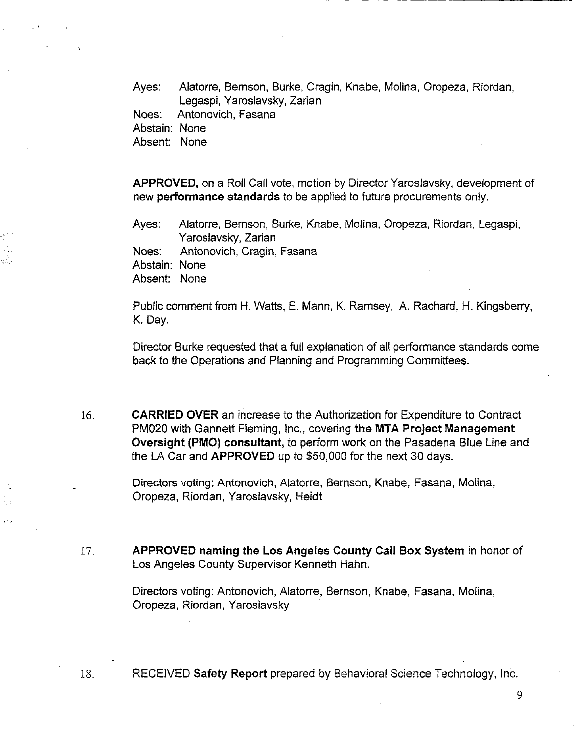Ayes: Alatorre, Bemson, Burke, Cragin, Knabe, Molina, Oropeza, Riordan, Legaspi, Yaroslavsky, Zarian Noes: Antonovich, Fasana

Abstain: None

Absent: None

APPROVED, on a Roll Call vote, motion by Director Yaroslavsky, development of new performance standards to be applied to future procurements only.

Ayes: Alatorre, Bernson, Burke, Knabe, Molina, Oropeza, Riordan, Legaspi, Yaroslavsky, Zarian

Noes: Antonovich, Cragin, Fasana

Abstain: None

Absent: None

18.

Public comment from H. Watts, E. Mann, K. Ramsey, A. Rachard, H. Kingsberry, K. Day.

Director Burke requested that a full explanation of all performance standards come back to the Operations and Planning and Programming Committees.

**CARRIED** OVER an increase to the Authorization for Expenditure to Contract 16. PM020 with Gannett Fleming, Inc., covering the MTA Project **Management Oversight (PMO) consultant,** to perform work on the Pasadena Blue Line and the LA Car and APPROVED up to \$50,000 for the next 30 days.

> Directors voting: Antonovich, Alatorre, Bernson, Knabe, Fasana, Molina, Oropeza, Riordan, Yaroslavsky, Heidt

17. **APPROVED naming the Los Angeles County Call Box System in honor of** Los Angeles County Supervisor Kenneth Hahn.

> Directors voting: Antonovich, Alatorre, Bernson, Knabe, Fasana, Molina, Oropeza, Riordan, Yaroslavsky

RECEIVED Safety Report prepared by Behavioral Science Technology, Inc.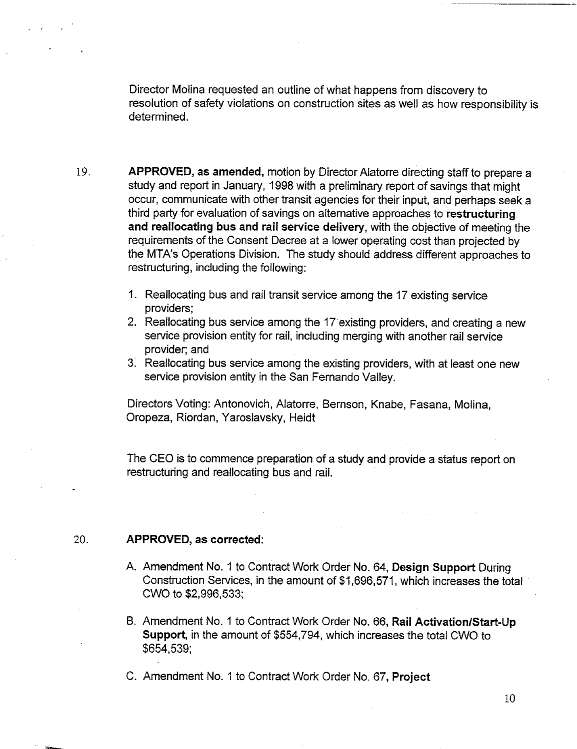Director Molina requested an outline of what happens from discovery to resolution of safety violations on construction sites as well as how responsibility is determined.

- 19. APPROVED, as amended, motion by Director Alatorre directing staff to prepare a study and report in January, 1998 with a preliminary report of savings that might occur, communicate with other transit agencies for their input, and perhaps seek a third party for evaluation of savings on alternative approaches to restructuring **and** reailocating bus and rail service delivery, with the objective of meeting the requirements of the Consent Decree at a lower operating cost than projected by the MTA's Operations Division. The study should address different approaches to restructuring, including the following:
	- 1. Reallocating bus and rail transit service among the 17 existing service providers;
	- 2. Reallocating bus service among the 17 existing providers, and creating a new service provision entity for rail, including merging with another rail service provider; and
	- 31 Reallocating bus service among the existing providers, with at least one new service provision entity in the San Fernando Valley.

Directors Voting: Antonovich, Alatorre, Bernson, Knabe, Fasana, Molina, Oropeza, Riordan, Yaroslavsky, Heidt

The CEO is to commence preparation of a study and provide a status report on restructuring and reallocating bus and rail.

### :20. **APPROVED, ascorrected:**

- A. Amendment No. 1 to Contract Work Order No. 64, Design Support During Construction Services, in the amount of \$1,696,571, which increases the total CWO to \$2,996,533;
- B. Amendment No. 1 to Contract Work Order No. 66, Rail Activation/Start-Up Support, in the amount of \$554,794, which increases the total CWO to \$654,539;

C. Amendment No. 1 to Contract Work Order No. 67, **Project**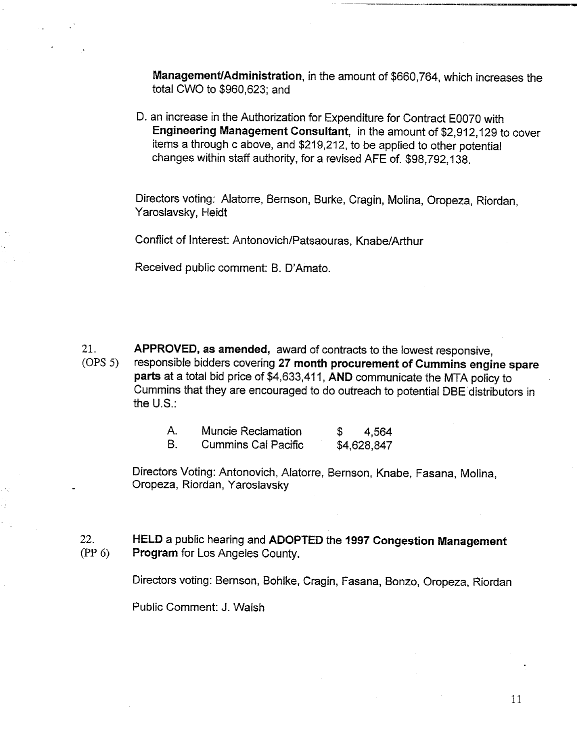Management/Administration, in the amount of \$660,764, which increases the total CWO to \$960,623; and

D. an increase in the Authorization for Expenditure for Contract E0070 with Engineering Management Consultant, in the amount of \$2,912,129 to cover items a through c above, and \$219,212, to be applied to other potential changes within staff authority, for a revised AFE of. \$98,792,138.

Directors voting: Alatorre, Bernson, Burke, Cragin, Molina, Oropeza, Riordan, Yaroslavsky, Heidt

Conflict of Interest: Antonovich/Patsaouras, Knabe/Arthur

Received public comment: B. D'Amato.

21. (OPS 5) APPROVED, **as amended,** award of contracts to the lowest responsive, responsible bidders covering 27 **month procurement** of Cummins **engine spare** parts at a total bid price of \$4,633,411, AND communicate the MTA policy to Cummins that they are encouraged to do outreach to potential DBE distributors in the U.S.:

| Α. | <b>Muncie Reclamation</b>  | 4,564       |
|----|----------------------------|-------------|
| В. | <b>Cummins Cal Pacific</b> | \$4,628,847 |

Directors Voting: Antonovich, Alatorre, Bernson, Knabe, Fasana, Molina, Oropeza, Riordan, Yaroslavsky

22. (PP 6) HELD a public hearing and ADOPTED the **1997 Congestion Management Program** for Los Angeles County.

Directors voting: Bernson, Bohlke, Cragin, Fasana, Bonzo, Oropeza, Riordan

Public Comment: J. Walsh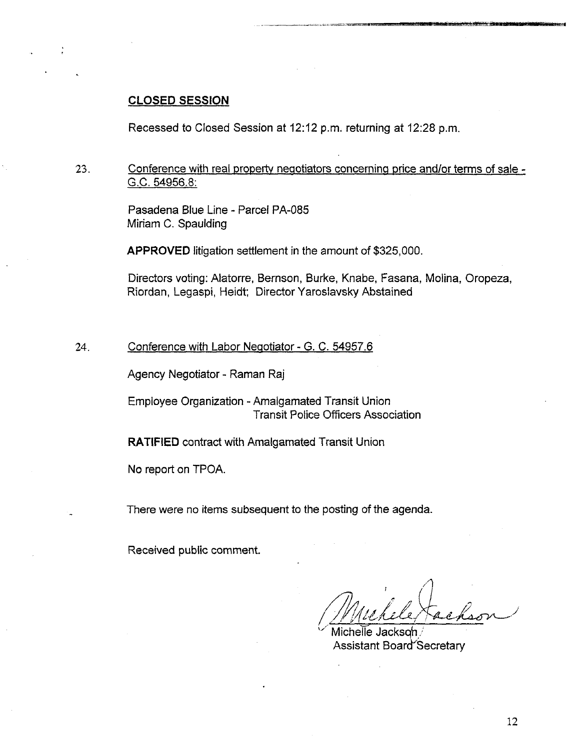### **CLOSED SESSION**

Recessed to Closed Session at 12:12 p.m, returning at 12:28 p.m.

23. Conference with real property negotiators concerning price and/or terms of sale -G.C. 54956.8:

> Pasadena Blue Line - Parcel PA-085 Miriam C. Spaulding

APPROVED litigation settlement in the amount of \$325,000.

Directors voting: Alatorre, Bernson, Burke, Knabe, Fasana, Molina, Oropeza, Riordan, Legaspi, Heidt; Director Yarostavsky Abstained

24. Conference with Labor Negotiator - G. C. 54957.6

Agency Negotiator- Raman Raj

Employee Organization - Amalgamated Transit Union Transit Police Officers Association

RATIFIED contract with Amalgamated Transit Union

No report on TPOA.

There were no items subsequent to the posting of the agenda.

Received public comment.

Michelle Jackson $\scriptstyle\wedge$ Assistant Board Secretary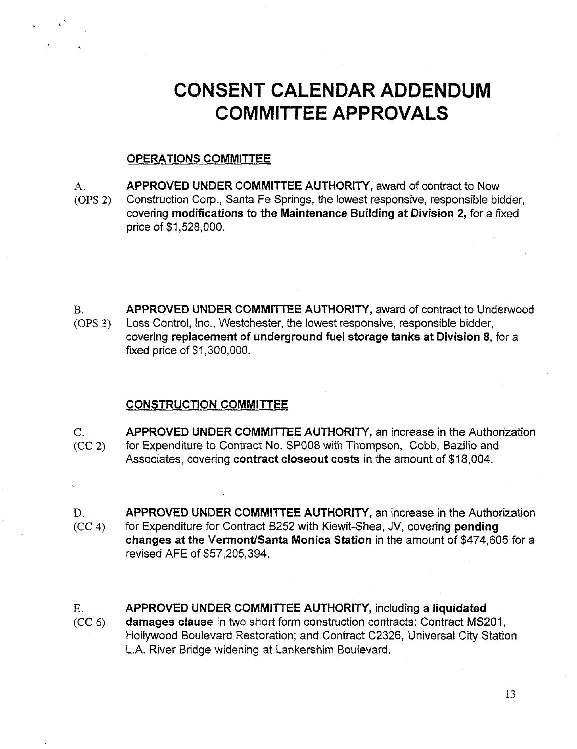# **CONSENT CALENDAR ADDENDUM COMMITTEE APPROVALS**

### OPERATIONS COMMITTEE

- APPROVED UNDER COMMITTEE AUTHORITY, award of contract to Now A.
- (oPs 2) Construction Corp., Santa Fe Springs, the lowest responsive, responsible bidder, covering modifications to the Maintenance Building at Division 2, for a fixed price of \$1,528,000.
- $B<sub>1</sub>$ APPROVED UNDER COMMITTEE AUTHORITY, award of contract to Underwood (oPs 3) Loss Control, Inc., Westchester, the lowest responsive, responsible bidder, covering replacement of underground fuel storage tanks at Division 8, for a fixed price of \$1,300,000.

### CONSTRUCTION COMMITTEE

- $C_{\cdot}$  $(CC 2)$ APPROVED UNDER COMMITTEE AUTHORITY, an increase in the Authorization for Expenditure to Contract No. SP008 with Thompson, Cobb, Bazilio and Associates, covering contract closeout costs in the amount of \$18,004.
- APPROVED UNDER COMMITTEE AUTHORITY, an increase in the Authorization D. for Expenditure for Contract B252 with Kiewit-Shea, JV, covering pending  $(CC 4)$ changes at the Vermont/Santa Monica Station in the amount of \$474,605 for a revised AFE of \$57,205,394.
- Ε. APPROVED UNDER COMMITTEE AUTHORITY, including a liquidated damages clause in two short form construction contracts: Contract MS201,  $(CC<sub>6</sub>)$ Hollywood Boulevard Restoration; and Contract C2326, Universal City Station L.A. River Bridge widening at Lankershim Boulevard.